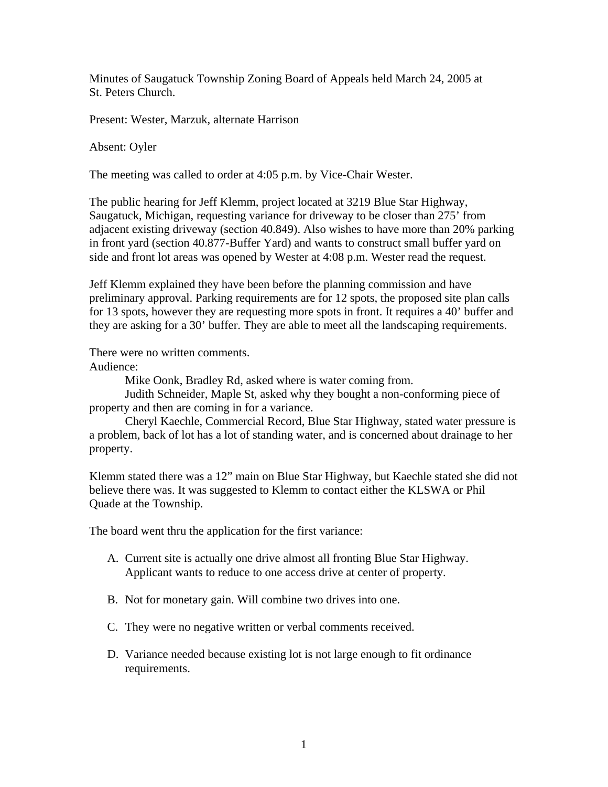Minutes of Saugatuck Township Zoning Board of Appeals held March 24, 2005 at St. Peters Church.

Present: Wester, Marzuk, alternate Harrison

Absent: Oyler

The meeting was called to order at 4:05 p.m. by Vice-Chair Wester.

The public hearing for Jeff Klemm, project located at 3219 Blue Star Highway, Saugatuck, Michigan, requesting variance for driveway to be closer than 275' from adjacent existing driveway (section 40.849). Also wishes to have more than 20% parking in front yard (section 40.877-Buffer Yard) and wants to construct small buffer yard on side and front lot areas was opened by Wester at 4:08 p.m. Wester read the request.

Jeff Klemm explained they have been before the planning commission and have preliminary approval. Parking requirements are for 12 spots, the proposed site plan calls for 13 spots, however they are requesting more spots in front. It requires a 40' buffer and they are asking for a 30' buffer. They are able to meet all the landscaping requirements.

There were no written comments.

Audience:

Mike Oonk, Bradley Rd, asked where is water coming from.

Judith Schneider, Maple St, asked why they bought a non-conforming piece of property and then are coming in for a variance.

Cheryl Kaechle, Commercial Record, Blue Star Highway, stated water pressure is a problem, back of lot has a lot of standing water, and is concerned about drainage to her property.

Klemm stated there was a 12" main on Blue Star Highway, but Kaechle stated she did not believe there was. It was suggested to Klemm to contact either the KLSWA or Phil Quade at the Township.

The board went thru the application for the first variance:

- A. Current site is actually one drive almost all fronting Blue Star Highway. Applicant wants to reduce to one access drive at center of property.
- B. Not for monetary gain. Will combine two drives into one.
- C. They were no negative written or verbal comments received.
- D. Variance needed because existing lot is not large enough to fit ordinance requirements.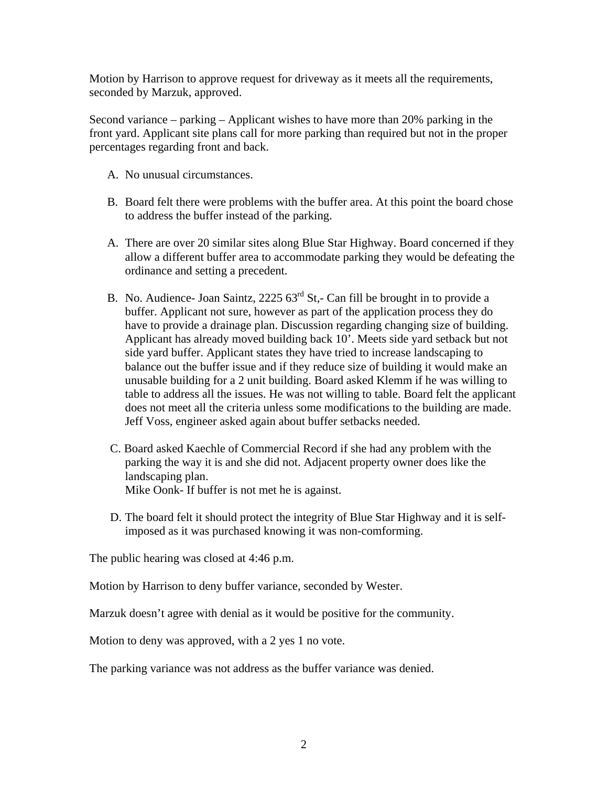Motion by Harrison to approve request for driveway as it meets all the requirements, seconded by Marzuk, approved.

Second variance – parking – Applicant wishes to have more than 20% parking in the front yard. Applicant site plans call for more parking than required but not in the proper percentages regarding front and back.

- A. No unusual circumstances.
- B. Board felt there were problems with the buffer area. At this point the board chose to address the buffer instead of the parking.
- A. There are over 20 similar sites along Blue Star Highway. Board concerned if they allow a different buffer area to accommodate parking they would be defeating the ordinance and setting a precedent.
- B. No. Audience- Joan Saintz,  $2225.63^{rd}$  St,- Can fill be brought in to provide a buffer. Applicant not sure, however as part of the application process they do have to provide a drainage plan. Discussion regarding changing size of building. Applicant has already moved building back 10'. Meets side yard setback but not side yard buffer. Applicant states they have tried to increase landscaping to balance out the buffer issue and if they reduce size of building it would make an unusable building for a 2 unit building. Board asked Klemm if he was willing to table to address all the issues. He was not willing to table. Board felt the applicant does not meet all the criteria unless some modifications to the building are made. Jeff Voss, engineer asked again about buffer setbacks needed.
- C. Board asked Kaechle of Commercial Record if she had any problem with the parking the way it is and she did not. Adjacent property owner does like the landscaping plan. Mike Oonk- If buffer is not met he is against.
- D. The board felt it should protect the integrity of Blue Star Highway and it is selfimposed as it was purchased knowing it was non-comforming.

The public hearing was closed at 4:46 p.m.

Motion by Harrison to deny buffer variance, seconded by Wester.

Marzuk doesn't agree with denial as it would be positive for the community.

Motion to deny was approved, with a 2 yes 1 no vote.

The parking variance was not address as the buffer variance was denied.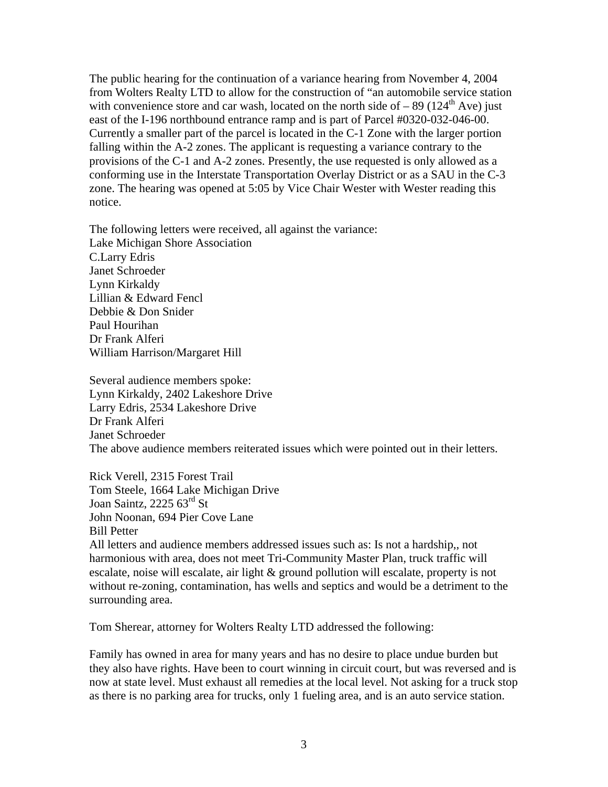The public hearing for the continuation of a variance hearing from November 4, 2004 from Wolters Realty LTD to allow for the construction of "an automobile service station with convenience store and car wash, located on the north side of  $-89$  (124<sup>th</sup> Ave) just east of the I-196 northbound entrance ramp and is part of Parcel #0320-032-046-00. Currently a smaller part of the parcel is located in the C-1 Zone with the larger portion falling within the A-2 zones. The applicant is requesting a variance contrary to the provisions of the C-1 and A-2 zones. Presently, the use requested is only allowed as a conforming use in the Interstate Transportation Overlay District or as a SAU in the C-3 zone. The hearing was opened at 5:05 by Vice Chair Wester with Wester reading this notice.

The following letters were received, all against the variance: Lake Michigan Shore Association C.Larry Edris Janet Schroeder Lynn Kirkaldy Lillian & Edward Fencl Debbie & Don Snider Paul Hourihan Dr Frank Alferi William Harrison/Margaret Hill

Several audience members spoke: Lynn Kirkaldy, 2402 Lakeshore Drive Larry Edris, 2534 Lakeshore Drive Dr Frank Alferi Janet Schroeder The above audience members reiterated issues which were pointed out in their letters.

Rick Verell, 2315 Forest Trail Tom Steele, 1664 Lake Michigan Drive Joan Saintz, 2225 63<sup>rd</sup> St John Noonan, 694 Pier Cove Lane Bill Petter All letters and audience members addressed issues such as: Is not a hardship,, not

harmonious with area, does not meet Tri-Community Master Plan, truck traffic will escalate, noise will escalate, air light & ground pollution will escalate, property is not without re-zoning, contamination, has wells and septics and would be a detriment to the surrounding area.

Tom Sherear, attorney for Wolters Realty LTD addressed the following:

Family has owned in area for many years and has no desire to place undue burden but they also have rights. Have been to court winning in circuit court, but was reversed and is now at state level. Must exhaust all remedies at the local level. Not asking for a truck stop as there is no parking area for trucks, only 1 fueling area, and is an auto service station.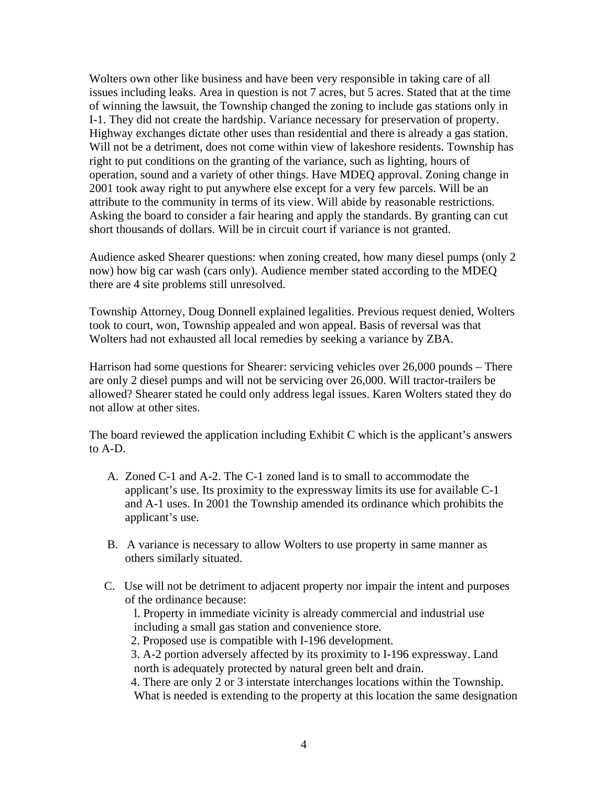Wolters own other like business and have been very responsible in taking care of all issues including leaks. Area in question is not 7 acres, but 5 acres. Stated that at the time of winning the lawsuit, the Township changed the zoning to include gas stations only in I-1. They did not create the hardship. Variance necessary for preservation of property. Highway exchanges dictate other uses than residential and there is already a gas station. Will not be a detriment, does not come within view of lakeshore residents. Township has right to put conditions on the granting of the variance, such as lighting, hours of operation, sound and a variety of other things. Have MDEQ approval. Zoning change in 2001 took away right to put anywhere else except for a very few parcels. Will be an attribute to the community in terms of its view. Will abide by reasonable restrictions. Asking the board to consider a fair hearing and apply the standards. By granting can cut short thousands of dollars. Will be in circuit court if variance is not granted.

Audience asked Shearer questions: when zoning created, how many diesel pumps (only 2 now) how big car wash (cars only). Audience member stated according to the MDEQ there are 4 site problems still unresolved.

Township Attorney, Doug Donnell explained legalities. Previous request denied, Wolters took to court, won, Township appealed and won appeal. Basis of reversal was that Wolters had not exhausted all local remedies by seeking a variance by ZBA.

Harrison had some questions for Shearer: servicing vehicles over 26,000 pounds – There are only 2 diesel pumps and will not be servicing over 26,000. Will tractor-trailers be allowed? Shearer stated he could only address legal issues. Karen Wolters stated they do not allow at other sites.

The board reviewed the application including Exhibit C which is the applicant's answers to A-D.

- A. Zoned C-1 and A-2. The C-1 zoned land is to small to accommodate the applicant's use. Its proximity to the expressway limits its use for available C-1 and A-1 uses. In 2001 the Township amended its ordinance which prohibits the applicant's use.
- B. A variance is necessary to allow Wolters to use property in same manner as others similarly situated.
- C. Use will not be detriment to adjacent property nor impair the intent and purposes of the ordinance because:

 l. Property in immediate vicinity is already commercial and industrial use including a small gas station and convenience store.

2. Proposed use is compatible with I-196 development.

 3. A-2 portion adversely affected by its proximity to I-196 expressway. Land north is adequately protected by natural green belt and drain.

 4. There are only 2 or 3 interstate interchanges locations within the Township. What is needed is extending to the property at this location the same designation